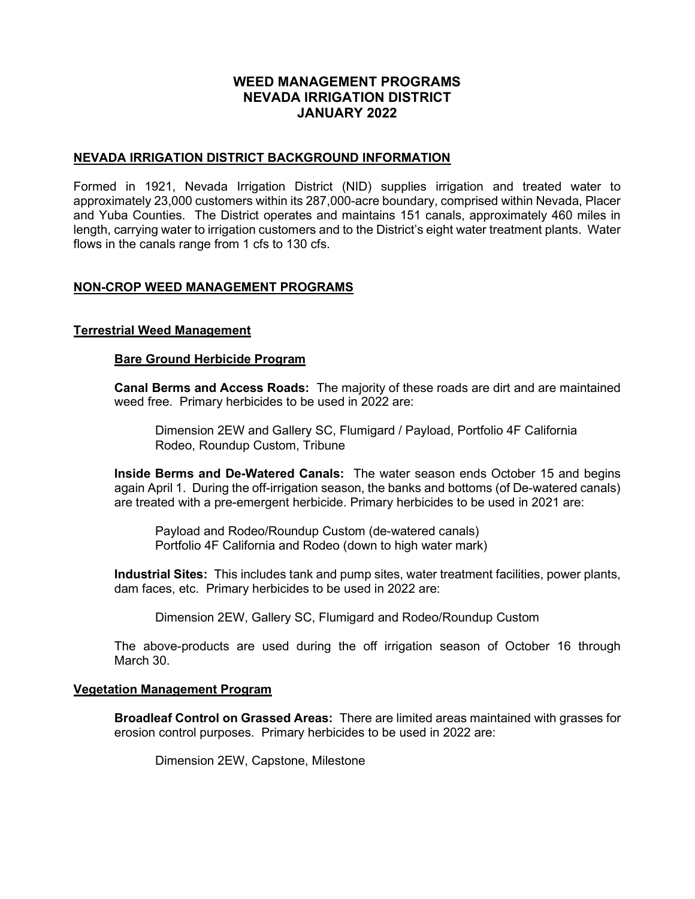# WEED MANAGEMENT PROGRAMS NEVADA IRRIGATION DISTRICT JANUARY 2022

# NEVADA IRRIGATION DISTRICT BACKGROUND INFORMATION

Formed in 1921, Nevada Irrigation District (NID) supplies irrigation and treated water to approximately 23,000 customers within its 287,000-acre boundary, comprised within Nevada, Placer and Yuba Counties. The District operates and maintains 151 canals, approximately 460 miles in length, carrying water to irrigation customers and to the District's eight water treatment plants. Water flows in the canals range from 1 cfs to 130 cfs.

# NON-CROP WEED MANAGEMENT PROGRAMS

# Terrestrial Weed Management

# Bare Ground Herbicide Program

Canal Berms and Access Roads: The majority of these roads are dirt and are maintained weed free. Primary herbicides to be used in 2022 are:

 Dimension 2EW and Gallery SC, Flumigard / Payload, Portfolio 4F California Rodeo, Roundup Custom, Tribune

Inside Berms and De-Watered Canals: The water season ends October 15 and begins again April 1. During the off-irrigation season, the banks and bottoms (of De-watered canals) are treated with a pre-emergent herbicide. Primary herbicides to be used in 2021 are:

 Payload and Rodeo/Roundup Custom (de-watered canals) Portfolio 4F California and Rodeo (down to high water mark)

Industrial Sites: This includes tank and pump sites, water treatment facilities, power plants, dam faces, etc. Primary herbicides to be used in 2022 are:

Dimension 2EW, Gallery SC, Flumigard and Rodeo/Roundup Custom

The above-products are used during the off irrigation season of October 16 through March 30.

#### Vegetation Management Program

Broadleaf Control on Grassed Areas: There are limited areas maintained with grasses for erosion control purposes. Primary herbicides to be used in 2022 are:

Dimension 2EW, Capstone, Milestone